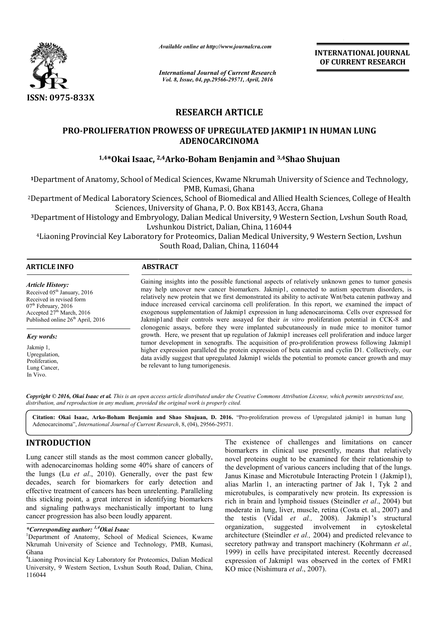

*Available online at http://www.journalcra.com*

**INTERNATIONAL JOURNAL OF CURRENT RESEARCH** 

*International Journal of Current Research Vol. 8, Issue, 04, pp.29566-29571, April, 2016*

# **RESEARCH ARTICLE**

# PRO-PROLIFERATION PROWESS OF UPREGULATED JAKMIP1 IN HUMAN LUNG<br>ADENOCARCINOMA<br><sup>1,4\*</sup>Okai Isaac, <sup>2,4</sup>Arko-Boham Benjamin and <sup>3,4</sup>Shao Shujuan

# **1,4\*Okai Isaac, 2,4 2,4Arko-Boham Benjamin and 3,4Shao Shujuan**

**<sup>1</sup>**Department of Anatomy, School of Medical Sciences, Kwame Nkrumah University of Science and Technology, PMB, Kumasi, Ghana

<sup>2</sup>Department of Medical Laboratory Sciences, School of Biomedical and Allied Health Sciences, College of Health Sciences, University of Ghana, P. O. Box KB143, Accra, Ghana of Anatomy, School of Medical Sciences, Kwame Nkrumah University of Science and Techn<br>PMB, Kumasi, Ghana<br>of Medical Laboratory Sciences, School of Biomedical and Allied Health Sciences, College of<br>Sciences, University of G

**<sup>3</sup>**Department of Histology and Embryology, Dalian Medical University, 9 Western Section, Lvshun South Road, Lvshunkou District, Dalian, China, 116044

4Liaoning Provincial Key Laboratory for Proteomics, Dalian Medical University, 9 Western Section, Lvshun South Road, Dalian, China, 116044

| <b>ARTICLE INFO</b>                                                                                                                                                                                               | <b>ABSTRACT</b>                                                                                                                                                                                                                                                                                                                                                                                                                                                                                                                                                                                                                                                                                                                                                                                                                                                                                                                                                                                                                                                                                                                                                                             |
|-------------------------------------------------------------------------------------------------------------------------------------------------------------------------------------------------------------------|---------------------------------------------------------------------------------------------------------------------------------------------------------------------------------------------------------------------------------------------------------------------------------------------------------------------------------------------------------------------------------------------------------------------------------------------------------------------------------------------------------------------------------------------------------------------------------------------------------------------------------------------------------------------------------------------------------------------------------------------------------------------------------------------------------------------------------------------------------------------------------------------------------------------------------------------------------------------------------------------------------------------------------------------------------------------------------------------------------------------------------------------------------------------------------------------|
| <b>Article History:</b><br>Received 05 <sup>th</sup> January, 2016<br>Received in revised form<br>$07th$ February, 2016<br>Accepted 27 <sup>th</sup> March, 2016<br>Published online 26 <sup>th</sup> April, 2016 | Gaining insights into the possible functional aspects of relatively unknown genes to tumor genesis<br>may help uncover new cancer biomarkers. Jakmip1, connected to autism spectrum disorders, is<br>relatively new protein that we first demonstrated its ability to activate Wnt/beta catenin pathway and<br>induce increased cervical carcinoma cell proliferation. In this report, we examined the impact of<br>exogenous supplementation of Jakmip1 expression in lung adenocarcinoma. Cells over expressed for<br>Jakmip1and their controls were assayed for their <i>in vitro</i> proliferation potential in CCK-8 and<br>clonogenic assays, before they were implanted subcutaneously in nude mice to monitor tumor<br>growth. Here, we present that up regulation of Jakmip1 increases cell proliferation and induce larger<br>tumor development in xenografts. The acquisition of pro-proliferation prowess following Jakmip1<br>higher expression paralleled the protein expression of beta catenin and cyclin D1. Collectively, our<br>data avidly suggest that upregulated Jakmip1 wields the potential to promote cancer growth and may<br>be relevant to lung tumorigenesis. |
| Key words:                                                                                                                                                                                                        |                                                                                                                                                                                                                                                                                                                                                                                                                                                                                                                                                                                                                                                                                                                                                                                                                                                                                                                                                                                                                                                                                                                                                                                             |
| Jakmip 1,<br>Upregulation,<br>Proliferation.<br>Lung Cancer,                                                                                                                                                      |                                                                                                                                                                                                                                                                                                                                                                                                                                                                                                                                                                                                                                                                                                                                                                                                                                                                                                                                                                                                                                                                                                                                                                                             |

Copyright © 2016, Okai Isaac et al. This is an open access article distributed under the Creative Commons Attribution License, which permits unrestricted use, *distribution, and reproduction in any medium, provided the original work is properly cited.*

Citation: Okai Isaac, Arko-Boham Benjamin and Shao Shujuan, D. 2016. "Pro-proliferation prowess of Upregulated jakmip1 in human lung Adenocarcinoma", *International Journal of Current Research*, 8, (04), 29566-29571.

# **INTRODUCTION**

In Vivo.

Lung cancer still stands as the most common cancer globally, with adenocarcinomas holding some 40% share of cancers of the lungs (Lu *et al*., 2010). Generally, over the past few decades, search for biomarkers for early detection and effective treatment of cancers has been unrelenting. Paralleling this sticking point, a great interest in identifying biomarkers and signaling pathways mechanistically important to lung cancer progression has also been loudly apparent.

*\*Corresponding author: 1,4Okai Isaac* <sup>1</sup>

<sup>1</sup>Department of Anatomy, School of Medical Sciences, Kwame Nkrumah University of Science and Technology, PMB, Kumasi, Ghana

4 Liaoning Provincial Key Laboratory for Proteomics, Dalian Medical University, 9 Western Section, Lvshun South Road, Dalian, China, 116044

**THE EXISTION**<br> **EXECUTION** The existence of challenges and limitations on cancer<br>
geneer still stands as the most common cancer globally,<br>
adenocarcinomas holding some 40% share of cancers of<br>
the development of various biomarkers in clinical use presently, means that relatively novel proteins ought to be examined for their relationship to the development of various cancers including that of the lungs. Janus Kinase and Microtubule Interacting Protein 1 (Jakmip1), biomarkers in clinical use presently, means that relatively<br>novel proteins ought to be examined for their relationship to<br>the development of various cancers including that of the lungs.<br>Janus Kinase and Microtubule Interac microtubules, is comparatively new protein. Its expression is rich in brain and lymphoid tissues (Steindler *et al*., 2004) but moderate in lung, liver, muscle, retina (Costa et. al., 2007) and the testis (Vidal *et al.,* 2008). Jakmip1's structural organization, suggested involvement in cytoskeletal architecture (Steindler *et al.,* 2004) and predicted relevance to secretory pathway and transport machinery (Kohrmann et al., 1999) in cells have precipitated interest. Recently decreased expression of Jakmip1 was observed in the cortex of FMR1 KO mice (Nishimura *et al*., 2007). suggested involvement in cytoskeletal<br>indler *et al.*, 2004) and predicted relevance to<br>ay and transport machinery (Kohrmann *et al.*, interest. Recently Jakmip1 the ., 2007).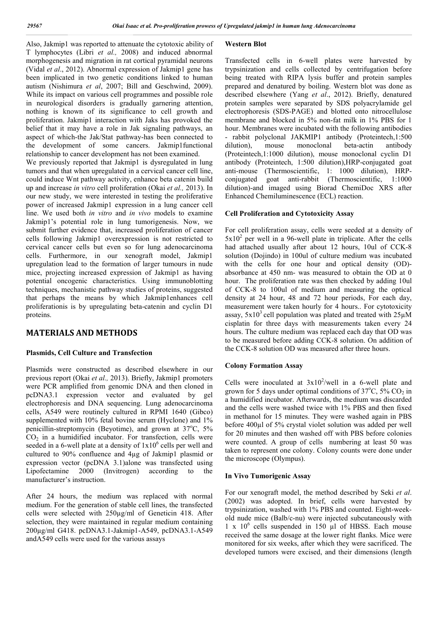Also, Jakmip1 was reported to attenuate the cytotoxic ability of T lymphocytes (Libri *et al.,* 2008) and induced abnormal morphogenesis and migration in rat cortical pyramidal neurons (Vidal *et al*., 2012). Abnormal expression of Jakmip1 gene has been implicated in two genetic conditions linked to human autism (Nishimura *et al*, 2007; Bill and Geschwind, 2009). While its impact on various cell programmes and possible role in neurological disorders is gradually garnering attention, nothing is known of its significance to cell growth and proliferation. Jakmip1 interaction with Jaks has provoked the belief that it may have a role in Jak signaling pathways, an aspect of which-the Jak/Stat pathway-has been connected to the development of some cancers. Jakmip1functional relationship to cancer development has not been examined. We previously reported that Jakmip1 is dysregulated in lung tumors and that when upregulated in a cervical cancer cell line, could induce Wnt pathway activity, enhance beta catenin build up and increase *in vitro* cell proliferation (Okai *et al.,* 2013). In our new study, we were interested in testing the proliferative power of increased Jakmip1 expression in a lung cancer cell line. We used both *in vitro* and *in vivo* models to examine Jakmip1's potential role in lung tumorigenesis. Now, we submit further evidence that, increased proliferation of cancer cells following Jakmip1 overexpression is not restricted to cervical cancer cells but even so for lung adenocarcinoma cells. Furthermore, in our xenograft model, Jakmip1 upregulation lead to the formation of larger tumours in nude mice, projecting increased expression of Jakmip1 as having potential oncogenic characteristics. Using immunoblotting techniques, mechanistic pathway studies of proteins, suggested that perhaps the means by which Jakmip1enhances cell proliferationis is by upregulating beta-catenin and cyclin D1

# **MATERIALS AND METHODS**

proteins.

# **Plasmids, Cell Culture and Transfection**

Plasmids were constructed as described elsewhere in our previous report (Okai *et al.,* 2013). Briefly, Jakmip1 promoters were PCR amplified from genomic DNA and then cloned in pcDNA3.1 expression vector and evaluated by gel electrophoresis and DNA sequencing. Lung adenocarcinoma cells, A549 were routinely cultured in RPMI 1640 (Gibco) supplemented with 10% fetal bovine serum (Hyclone) and 1% penicillin-streptomycin (Beyotime), and grown at 37°C, 5%  $CO<sub>2</sub>$  in a humidified incubator. For transfection, cells were seeded in a 6-well plate at a density of  $1x10^6$  cells per well and cultured to 90% confluence and 4µg of Jakmip1 plasmid or expression vector (pcDNA 3.1)alone was transfected using Lipofectamine 2000 (Invitrogen) according to the manufacturer's instruction.

After 24 hours, the medium was replaced with normal medium. For the generation of stable cell lines, the transfected cells were selected with 250µg/ml of Geneticin 418. After selection, they were maintained in regular medium containing 200µg/ml G418. pcDNA3.1-Jakmip1-A549, pcDNA3.1-A549 andA549 cells were used for the various assays

# **Western Blot**

Transfected cells in 6-well plates were harvested by trypsinization and cells collected by centrifugation before being treated with RIPA lysis buffer and protein samples prepared and denatured by boiling. Western blot was done as described elsewhere (Yang *et al*., 2012). Briefly, denatured protein samples were separated by SDS polyacrylamide gel electrophoresis (SDS-PAGE) and blotted onto nitrocellulose membrane and blocked in 5% non-fat milk in 1% PBS for 1 hour. Membranes were incubated with the following antibodies - rabbit polyclonal JAKMIP1 antibody (Proteintech,1:500 dilution), mouse monoclonal beta-actin antibody mouse monoclonal beta-actin antibody (Proteintech,1:1000 dilution), mouse monoclonal cyclin D1 antibody (Proteintech, 1:500 dilution),HRP-conjugated goat anti-mouse (Thermoscientific, 1: 1000 dilution), HRPconjugated goat anti-rabbit (Thermoscientific, 1:1000 dilution)-and imaged using Biorad ChemiDoc XRS after Enhanced Chemiluminescence (ECL) reaction.

# **Cell Proliferation and Cytotoxicity Assay**

For cell proliferation assay, cells were seeded at a density of  $5x10<sup>2</sup>$  per well in a 96-well plate in triplicate. After the cells had attached usually after about 12 hours, 10ul of CCK-8 solution (Dojindo) in 100ul of culture medium was incubated with the cells for one hour and optical density (OD) absorbance at 450 nm- was measured to obtain the OD at 0 hour. The proliferation rate was then checked by adding 10ul of CCK-8 to 100ul of medium and measuring the optical density at 24 hour, 48 and 72 hour periods, For each day, measurement were taken hourly for 4 hours.. For cytotoxicity assay,  $5x10^3$  cell population was plated and treated with  $25\mu$ M cisplatin for three days with measurements taken every 24 hours. The culture medium was replaced each day that OD was to be measured before adding CCK-8 solution. On addition of the CCK-8 solution OD was measured after three hours.

# **Colony Formation Assay**

Cells were inoculated at  $3x10^2$ /well in a 6-well plate and grown for 5 days under optimal conditions of  $37^{\circ}$ C,  $5\%$  CO<sub>2</sub> in a humidified incubator. Afterwards, the medium was discarded and the cells were washed twice with 1% PBS and then fixed in methanol for 15 minutes. They were washed again in PBS before 400µl of 5% crystal violet solution was added per well for 20 minutes and then washed off with PBS before colonies were counted. A group of cells numbering at least 50 was taken to represent one colony. Colony counts were done under the microscope (Olympus).

# **In Vivo Tumorigenic Assay**

For our xenograft model, the method described by Seki *et al*. (2002) was adopted. In brief, cells were harvested by trypsinization, washed with 1% PBS and counted. Eight-weekold nude mice (Balb/c-nu) were injected subcutaneously with  $1 \times 10^6$  cells suspended in 150 µl of HBSS. Each mouse received the same dosage at the lower right flanks. Mice were monitored for six weeks, after which they were sacrificed. The developed tumors were excised, and their dimensions (length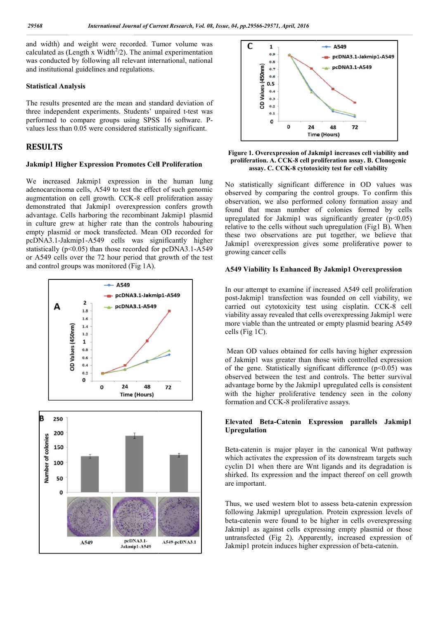and width) and weight were recorded. Tumor volume was calculated as (Length x Width<sup>2</sup>/2). The animal experimentation was conducted by following all relevant international, national and institutional guidelines and regulations.

#### **Statistical Analysis**

The results presented are the mean and standard deviation of three independent experiments. Students' unpaired t-test was performed to compare groups using SPSS 16 software. P Pvalues less than 0.05 were considered statistically significant.

# **RESULTS**

#### **Jakmip1 Higher Expression Promotes Cell Proliferation**

We increased Jakmip1 expression in the human lung adenocarcinoma cells, A549 to test the effect of such genomic augmentation on cell growth. CCK-8 cell proliferation assay demonstrated that Jakmip1 overexpression confers growth advantage. Cells harboring the recombinant Jakmip1 plasmid in culture grew at higher rate than the controls habouring empty plasmid or mock transfected. Mean OD recorded for pcDNA3.1-Jakmip1-A549 cells was significantly higher statistically ( $p<0.05$ ) than those recorded for  $pCDNA3.1-A549$ or A549 cells over the 72 hour period that growth of the test and control groups was monitored (Fig 1A). 1 growth. CCK-8 cell proliferation assay<br>Jakmip1 overexpression confers growth<br>boring the recombinant Jakmip1 plasmid<br>higher rate than the controls habouring<br>nock transfected. Mean OD recorded for<br>A549 cells was significan





#### **Figure 1. Overexpression of Jakmip1 increases cell viability and proliferation. A. CCK-8 cell proliferation assay. B. Clonogenic**  ration. A. CCK-8 cell proliferation assay. B. Clor.<br>assay. C. CCK-8 cytotoxicity test for cell viability

No statistically significant difference in OD values was observed by comparing the control groups. To confirm this observation, we also performed colony formation assay and found that mean number of colonies formed by cells upregulated for Jakmip1 was significantly greater  $(p<0.05)$ relative to the cells without such upregulation (Fig1 B). When these two observations are put together, we believe that Jakmip1 overexpression gives some proliferative power to growing cancer cells statistically significant difference in OD values was<br>rved by comparing the control groups. To confirm this<br>rvation, we also performed colony formation assay and<br>d that mean number of colonies formed by cells<br>gulated for

#### **A549 Viability Is Enhanced By Jakmip1 Overexpression nhanced Overexpression**

In our attempt to examine if increased A549 cell proliferation post-Jakmip1 transfection was founded on cell viability, we In our attempt to examine if increased A549 cell proliferation<br>post-Jakmip1 transfection was founded on cell viability, we<br>carried out cytotoxicity test using cisplatin. CCK-8 cell viability assay revealed that cells overexpressing Jakmip1 were more viable than the untreated or empty plasmid bearing A549 cells (Fig 1C).

Mean OD values obtained for cells having higher expression of Jakmip1 was greater than those with controlled expression of the gene. Statistically significant difference  $(p<0.05)$  was observed between the test and controls. The better survival advantage borne by the Jakmip1 upregulated cells is consistent with the higher proliferative tendency seen in the colony formation and CCK-8 proliferative assays. viable than the untreated or empty plasmid bearing  $A$ <br>Fig 1C).<br>
1 OD values obtained for cells having higher expres<br>
empl was greater than those with controlled expres<br>
2 gene. Statistically significant difference (p<0.0

#### **Elevated Beta-Catenin Expression parallels Jakmip1 Upregulation**

Beta-catenin is major player in the canonical Wnt pathway which activates the expression of its downstream targets such cyclin D1 when there are Wnt ligands and its degradation is shirked. Its expression and the impact thereof on cell growth are important. catenin is major player in the canonical Wnt pathway<br>in activates the expression of its downstream targets such<br>in D1 when there are Wnt ligands and its degradation is<br>ed. Its expression and the impact thereof on cell grow

Thus, we used western blot to assess beta-catenin expression following Jakmip1 upregulation. Protein expression levels of beta-catenin were found to be higher in cells overexpressing Jakmip1 as against cells expressing empty plasmid or those untransfected (Fig 2). Apparently, increased expression of Jakmip1 protein induces higher expression of beta-catenin. llowing Jakmip1 upregulation. Protein expression level<br>ta-catenin were found to be higher in cells overexpres<br>kmip1 as against cells expressing empty plasmid or tl<br>transfected (Fig 2). Apparently, increased expression<br>kmip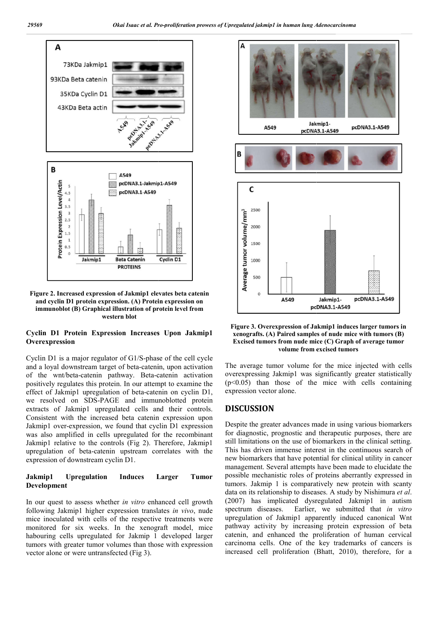

**Figure 2. Increased expression of Jakmip1 elevates beta catenin and cyclin D1 protein expression. (A) Protein expression on immunoblot (B) Graphical illustration of protein level from western blot**

# **Cyclin D1 Protein Expression Increases Upon Jakmip1 Overexpression**

Cyclin D1 is a major regulator of G1/S-phase of the cell cycle and a loyal downstream target of beta-catenin, upon activation of the wnt/beta-catenin pathway. Beta-catenin activation positively regulates this protein. In our attempt to examine the effect of Jakmip1 upregulation of beta-catenin on cyclin D1, we resolved on SDS-PAGE and immunoblotted protein extracts of Jakmip1 upregulated cells and their controls. Consistent with the increased beta catenin expression upon Jakmip1 over-expression, we found that cyclin D1 expression was also amplified in cells upregulated for the recombinant Jakmip1 relative to the controls (Fig 2). Therefore, Jakmip1 upregulation of beta-catenin upstream correlates with the expression of downstream cyclin D1. major regulator of G1/S-phase of the cell cycle<br>wnstream target of beta-catenin, upon activation<br>eta-catenin pathway. Beta-catenin activation<br>ulates this protein. In our attempt to examine the<br>inpl upregulation of beta-cat

## **Jakmip1 Upregulation Induces Larger Tumor Development**

In our quest to assess whether *in vitro* enhanced cell growth following Jakmip1 higher expression translates *in vivo*, nude mice inoculated with cells of the respective treatments were monitored for six weeks. In the xenograft model, mice habouring cells upregulated for Jakmip 1 developed larger tumors with greater tumor volumes than those with expression vector alone or were untransfected (Fig 3).



# Figure 3. Overexpression of Jakmip1 induces larger tumors in<br>xenografts. (A) Paired samples of nude mice with tumors (B) **Excised tumors from nude mice (C) Graph of average tumor**  from nude mice (C) Graph **c**<br>volume from excised tumors

The average tumor volume for the mice injected with cells overexpressing Jakmip1 was significantly greater statistically The average tumor volume for the mice injected with cells overexpressing Jakmip1 was significantly greater statistically  $(p<0.05)$  than those of the mice with cells containing expression vector alone.

# **DISCUSSION**

**Expression Increases Upon Jakmip1**<br> **Experies A. Overexpression of Jakmip1** induces larger tumors in<br>
Excised tumors from nucle mice (C) Graph of average tumor<br>
Tregulator of G1/S-phase of the cell cycle of worm and mice Despite the greater advances made in using various biomarkers for diagnostic, prognostic and therapeutic purposes, there are still limitations on the use of biomarkers in the clinical setting. This has driven immense interest in the continuous search of new biomarkers that have potential for clinical utility in cancer management. Several attempts have been made to elucidate the possible mechanistic roles of proteins aberrantly expressed in tumors. Jakmip 1 is comparatively new protein with scanty data on its relationship to diseases. A study by Nishimura et al. (2007) has implicated dysregulated Jakmip1 in autism spectrum diseases. Earlier, we submitted that *in vitro* spectrum diseases. Earlier, we submitted that in vitro upregulation of Jakmip1 apparently induced canonical Wnt pathway activity by increasing protein expression of beta catenin, and enhanced the proliferation of human cervical carcinoma cells. One of the key trademarks of cancers is increased cell proliferation (Bhatt, 2010), therefore, for a Despite the greater advances made in using various biomarkers<br>for diagnostic, prognostic and therapeutic purposes, there are<br>still limitations on the use of biomarkers in the clinical setting.<br>This has driven immense inter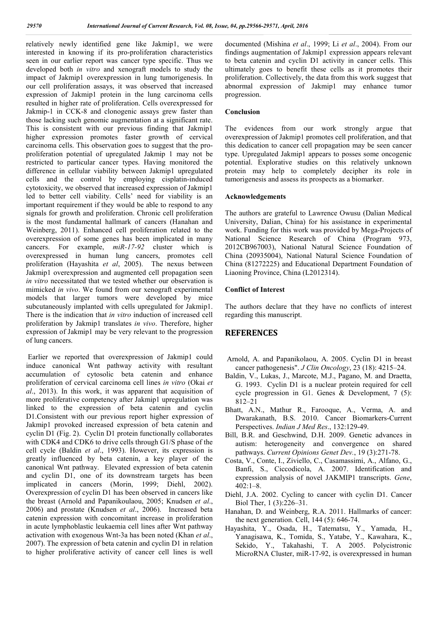relatively newly identified gene like Jakmip1, we were interested in knowing if its pro-proliferation characteristics seen in our earlier report was cancer type specific. Thus we developed both *in vitro* and xenograft models to study the impact of Jakmip1 overexpression in lung tumorigenesis. In our cell proliferation assays, it was observed that increased expression of Jakmip1 protein in the lung carcinoma cells resulted in higher rate of proliferation. Cells overexpressed for Jakmip-1 in CCK-8 and clonogenic assays grew faster than those lacking such genomic augmentation at a significant rate. This is consistent with our previous finding that Jakmip1 higher expression promotes faster growth of cervical carcinoma cells. This observation goes to suggest that the proproliferation potential of upregulated Jakmip 1 may not be restricted to particular cancer types. Having monitored the difference in cellular viability between Jakmip1 upregulated cells and the control by employing cisplatin-induced cytotoxicity, we observed that increased expression of Jakmip1 led to better cell viability. Cells' need for viability is an important requirement if they would be able to respond to any signals for growth and proliferation. Chronic cell proliferation is the most fundamental hallmark of cancers (Hanahan and Weinberg, 2011). Enhanced cell proliferation related to the overexpression of some genes has been implicated in many cancers. For example, *miR-17-92* cluster which is overexpressed in human lung cancers, promotes cell proliferation (Hayashita *et al*, 2005). The nexus between Jakmip1 overexpression and augmented cell propagation seen *in vitro* necessitated that we tested whether our observation is mimicked *in vivo*. We found from our xenograft experimental models that larger tumors were developed by mice subcutaneously implanted with cells upregulated for Jakmip1. There is the indication that *in vitro* induction of increased cell proliferation by Jakmip1 translates *in vivo*. Therefore, higher expression of Jakmip1 may be very relevant to the progression of lung cancers.

Earlier we reported that overexpression of Jakmip1 could induce canonical Wnt pathway activity with resultant accumulation of cytosolic beta catenin and enhance proliferation of cervical carcinoma cell lines *in vitro* (Okai *et al*., 2013). In this work, it was apparent that acquisition of more proliferative competency after Jakmip1 upregulation was linked to the expression of beta catenin and cyclin D1.Consistent with our previous report higher expression of Jakmip1 provoked increased expression of beta catenin and cyclin D1 (Fig. 2). Cyclin D1 protein functionally collaborates with CDK4 and CDK6 to drive cells through G1/S phase of the cell cycle (Baldin *et al*., 1993). However, its expression is greatly influenced by beta catenin, a key player of the canonical Wnt pathway. Elevated expression of beta catenin and cyclin D1, one of its downstream targets has been implicated in cancers (Morin, 1999; Diehl, 2002). Overexpression of cyclin D1 has been observed in cancers like the breast (Arnold and Papanikoulaou, 2005; Knudsen *et al*., 2006) and prostate (Knudsen *et al*., 2006). Increased beta catenin expression with concomitant increase in proliferation in acute lymphoblastic leukaemia cell lines after Wnt pathway activation with exogenous Wnt-3a has been noted (Khan *et al*., 2007). The expression of beta catenin and cyclin D1 in relation to higher proliferative activity of cancer cell lines is well documented (Mishina *et al*., 1999; Li *et al*., 2004). From our findings augmentation of Jakmip1 expression appears relevant to beta catenin and cyclin D1 activity in cancer cells. This ultimately goes to benefit these cells as it promotes their proliferation. Collectively, the data from this work suggest that abnormal expression of Jakmip1 may enhance tumor progression.

## **Conclusion**

The evidences from our work strongly argue that overexpression of Jakmip1 promotes cell proliferation, and that this dedication to cancer cell propagation may be seen cancer type. Upregulated Jakmip1 appears to posses some oncogenic potential. Explorative studies on this relatively unknown protein may help to completely decipher its role in tumorigenesis and assess its prospects as a biomarker.

#### **Acknowledgements**

The authors are grateful to Lawrence Owusu (Dalian Medical University, Dalian, China) for his assistance in experimental work. Funding for this work was provided by Mega-Projects of National Science Research of China (Program 973, 2012CB967003), National Natural Science Foundation of China (20935004), National Natural Science Foundation of China (81272225) and Educational Department Foundation of Liaoning Province, China (L2012314).

#### **Conflict of Interest**

The authors declare that they have no conflicts of interest regarding this manuscript.

# **REFERENCES**

- Arnold, A. and Papanikolaou, A. 2005. Cyclin D1 in breast cancer pathogenesis". *J Clin Oncology*, 23 (18): 4215–24.
- Baldin, V., Lukas, J., Marcote, M.J., Pagano, M. and Draetta, G. 1993. Cyclin D1 is a nuclear protein required for cell cycle progression in G1. Genes & Development, 7 (5): 812–21
- Bhatt, A.N., Mathur R., Farooque, A., Verma, A. and Dwarakanath, B.S. 2010. Cancer Biomarkers-Current Perspectives. *Indian J Med Res*., 132:129-49.
- Bill, B.R. and Geschwind, D.H. 2009. Genetic advances in autism: heterogeneity and convergence on shared pathways. *Current Opinions Genet Dev.*, 19 (3):271-78.
- Costa, V., Conte, I., Ziviello, C., Casamassimi, A., Alfano, G., Banfi, S., Ciccodicola, A. 2007. Identification and expression analysis of novel JAKMIP1 transcripts. *Gene*, 402:1–8.
- Diehl, J.A. 2002. Cycling to cancer with cyclin D1. Cancer Biol Ther, 1 (3):226–31.
- Hanahan, D. and Weinberg, R.A. 2011. Hallmarks of cancer: the next generation. Cell, 144 (5): 646-74.
- Hayashita, Y., Osada, H., Tatematsu, Y., Yamada, H., Yanagisawa, K., Tomida, S., Yatabe, Y., Kawahara, K., Sekido, Y., Takahashi, T. A 2005. Polycistronic MicroRNA Cluster, miR-17-92, is overexpressed in human